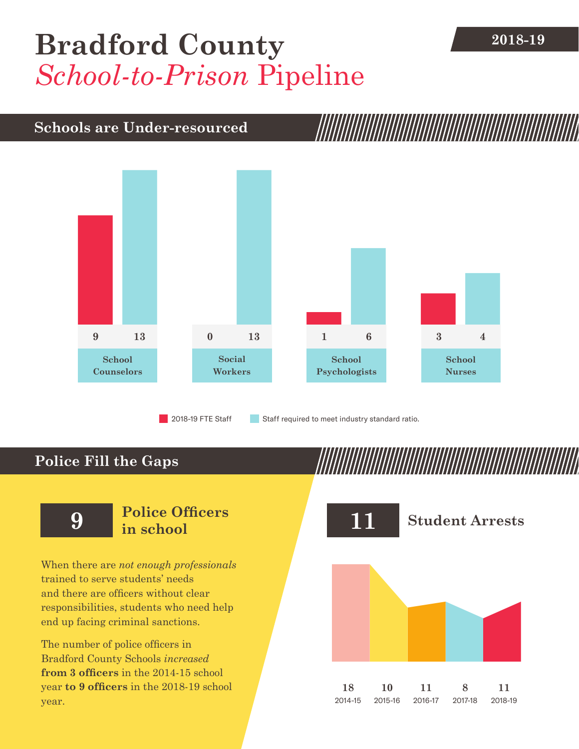## **[Bradford County](DBF_County)** 2018-19 *School-to-Prison* Pipeline

## **Schools are Under-resourced**



2018-19 FTE Staff **Staff required to meet industry standard ratio.** 

## **Police Fill the Gaps**

When there are *not enough professionals* trained to serve students' needs and there are officers without clear responsibilities, students who need help end up facing criminal sanctions.

The number of police officers in [Bradford County](DBF_County) Schools *increased* **from [3](DBF_PO1415) officers** in the 2014-15 school year **to [9](DBF_PO) officers** in the 2018-19 school year.